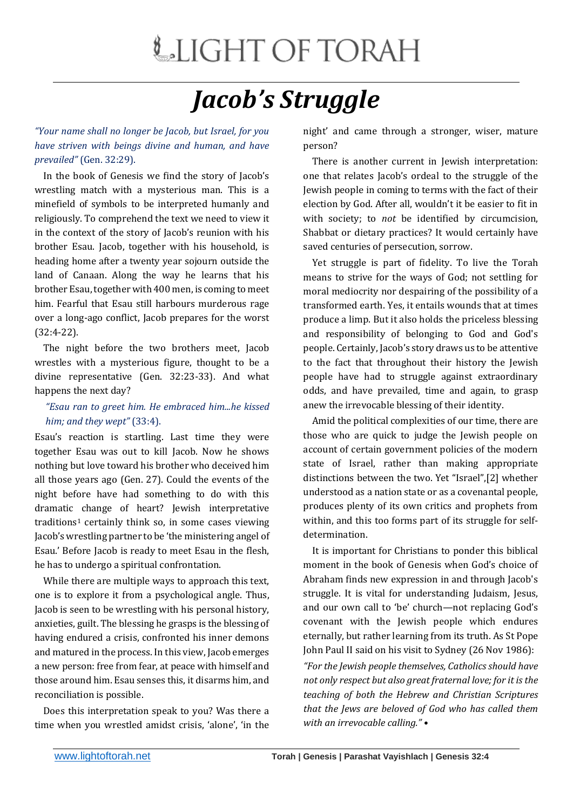## LIGHT OF TORAH

## *Jacob's Struggle*

*"Your name shall no longer be Jacob, but Israel, for you have striven with beings divine and human, and have prevailed"* (Gen. 32:29).

 In the book of Genesis we find the story of Jacob's wrestling match with a mysterious man. This is a minefield of symbols to be interpreted humanly and religiously. To comprehend the text we need to view it in the context of the story of Jacob's reunion with his brother Esau. Jacob, together with his household, is heading home after a twenty year sojourn outside the land of Canaan. Along the way he learns that his brother Esau, together with 400 men, is coming to meet him. Fearful that Esau still harbours murderous rage over a long-ago conflict, Jacob prepares for the worst (32:4-22).

 The night before the two brothers meet, Jacob wrestles with a mysterious figure, thought to be a divine representative (Gen. 32:23-33). And what happens the next day?

## *"Esau ran to greet him. He embraced him...he kissed him; and they wept"* (33:4).

Esau's reaction is startling. Last time they were together Esau was out to kill Jacob. Now he shows nothing but love toward his brother who deceived him all those years ago (Gen. 27). Could the events of the night before have had something to do with this dramatic change of heart? Jewish interpretative traditions<sup>1</sup> certainly think so, in some cases viewing Jacob's wrestling partner to be 'the ministering angel of Esau.' Before Jacob is ready to meet Esau in the flesh, he has to undergo a spiritual confrontation.

 While there are multiple ways to approach this text, one is to explore it from a psychological angle. Thus, Jacob is seen to be wrestling with his personal history, anxieties, guilt. The blessing he grasps is the blessing of having endured a crisis, confronted his inner demons and matured in the process. In this view, Jacob emerges a new person: free from fear, at peace with himself and those around him. Esau senses this, it disarms him, and reconciliation is possible.

 Does this interpretation speak to you? Was there a time when you wrestled amidst crisis, 'alone', 'in the

night' and came through a stronger, wiser, mature person?

 There is another current in Jewish interpretation: one that relates Jacob's ordeal to the struggle of the Jewish people in coming to terms with the fact of their election by God. After all, wouldn't it be easier to fit in with society; to *not* be identified by circumcision, Shabbat or dietary practices? It would certainly have saved centuries of persecution, sorrow.

 Yet struggle is part of fidelity. To live the Torah means to strive for the ways of God; not settling for moral mediocrity nor despairing of the possibility of a transformed earth. Yes, it entails wounds that at times produce a limp. But it also holds the priceless blessing and responsibility of belonging to God and God's people. Certainly, Jacob's story draws us to be attentive to the fact that throughout their history the Jewish people have had to struggle against extraordinary odds, and have prevailed, time and again, to grasp anew the irrevocable blessing of their identity.

 Amid the political complexities of our time, there are those who are quick to judge the Jewish people on account of certain government policies of the modern state of Israel, rather than making appropriate distinctions between the two. Yet "Israel",[2] whether understood as a nation state or as a covenantal people, produces plenty of its own critics and prophets from within, and this too forms part of its struggle for selfdetermination.

 It is important for Christians to ponder this biblical moment in the book of Genesis when God's choice of Abraham finds new expression in and through Jacob's struggle. It is vital for understanding Judaism, Jesus, and our own call to 'be' church—not replacing God's covenant with the Jewish people which endures eternally, but rather learning from its truth. As St Pope John Paul II said on his visit to Sydney (26 Nov 1986):

*"For the Jewish people themselves, Catholics should have not only respect but also great fraternal love; for it is the teaching of both the Hebrew and Christian Scriptures that the Jews are beloved of God who has called them with an irrevocable calling." •*